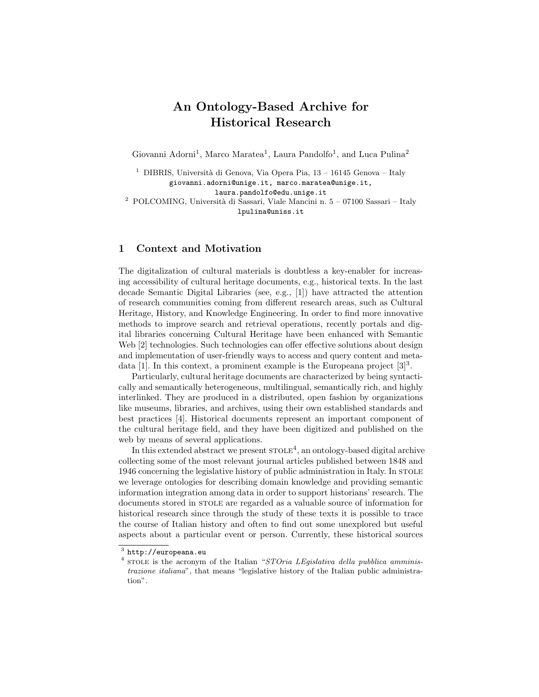# An Ontology-Based Archive for Historical Research

Giovanni Adorni<sup>1</sup>, Marco Maratea<sup>1</sup>, Laura Pandolfo<sup>1</sup>, and Luca Pulina<sup>2</sup>

 $^{\rm 1}$  DIBRIS, Università di Genova, Via Opera Pia, 13 – 16145 Genova – Italy giovanni.adorni@unige.it, marco.maratea@unige.it, laura.pandolfo@edu.unige.it

 $^2\,$  POLCOMING, Università di Sassari, Viale Mancini n. 5 – 07100 Sassari – Italy lpulina@uniss.it

#### 1 Context and Motivation

The digitalization of cultural materials is doubtless a key-enabler for increasing accessibility of cultural heritage documents, e.g., historical texts. In the last decade Semantic Digital Libraries (see, e.g., [1]) have attracted the attention of research communities coming from different research areas, such as Cultural Heritage, History, and Knowledge Engineering. In order to find more innovative methods to improve search and retrieval operations, recently portals and digital libraries concerning Cultural Heritage have been enhanced with Semantic Web [2] technologies. Such technologies can offer effective solutions about design and implementation of user-friendly ways to access and query content and metadata [1]. In this context, a prominent example is the Europeana project  $[3]^3$ .

Particularly, cultural heritage documents are characterized by being syntactically and semantically heterogeneous, multilingual, semantically rich, and highly interlinked. They are produced in a distributed, open fashion by organizations like museums, libraries, and archives, using their own established standards and best practices [4]. Historical documents represent an important component of the cultural heritage field, and they have been digitized and published on the web by means of several applications.

In this extended abstract we present  $\text{STOLE}^4$ , an ontology-based digital archive collecting some of the most relevant journal articles published between 1848 and 1946 concerning the legislative history of public administration in Italy. In stole we leverage ontologies for describing domain knowledge and providing semantic information integration among data in order to support historians' research. The documents stored in STOLE are regarded as a valuable source of information for historical research since through the study of these texts it is possible to trace the course of Italian history and often to find out some unexplored but useful aspects about a particular event or person. Currently, these historical sources

 $^3$  http://europeana.eu

<sup>&</sup>lt;sup>4</sup> STOLE is the acronym of the Italian "STOria LEgislativa della pubblica amministrazione italiana", that means "legislative history of the Italian public administration".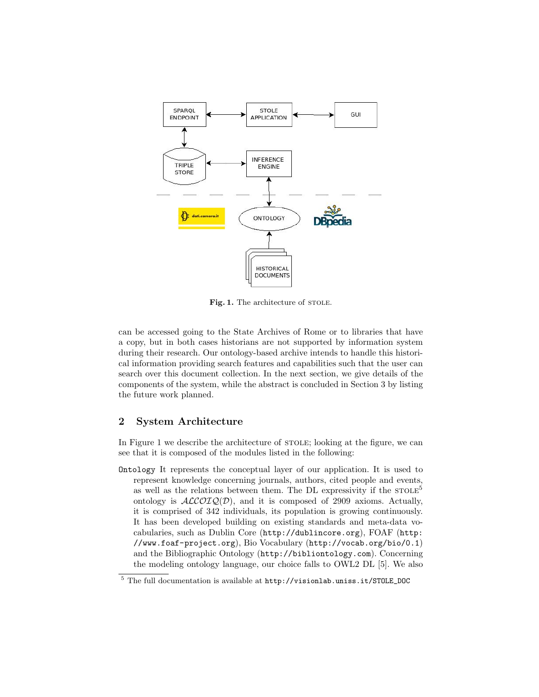

Fig. 1. The architecture of STOLE.

can be accessed going to the State Archives of Rome or to libraries that have a copy, but in both cases historians are not supported by information system during their research. Our ontology-based archive intends to handle this historical information providing search features and capabilities such that the user can search over this document collection. In the next section, we give details of the components of the system, while the abstract is concluded in Section 3 by listing the future work planned.

### 2 System Architecture

In Figure 1 we describe the architecture of STOLE; looking at the figure, we can see that it is composed of the modules listed in the following:

Ontology It represents the conceptual layer of our application. It is used to represent knowledge concerning journals, authors, cited people and events, as well as the relations between them. The DL expressivity if the  $STOLE<sup>5</sup>$ ontology is  $ALCOIQ(D)$ , and it is composed of 2909 axioms. Actually, it is comprised of 342 individuals, its population is growing continuously. It has been developed building on existing standards and meta-data vocabularies, such as Dublin Core (http://dublincore.org), FOAF (http: //www.foaf-project.org), Bio Vocabulary (http://vocab.org/bio/0.1) and the Bibliographic Ontology (http://bibliontology.com). Concerning the modeling ontology language, our choice falls to OWL2 DL [5]. We also

<sup>5</sup> The full documentation is available at http://visionlab.uniss.it/STOLE\_DOC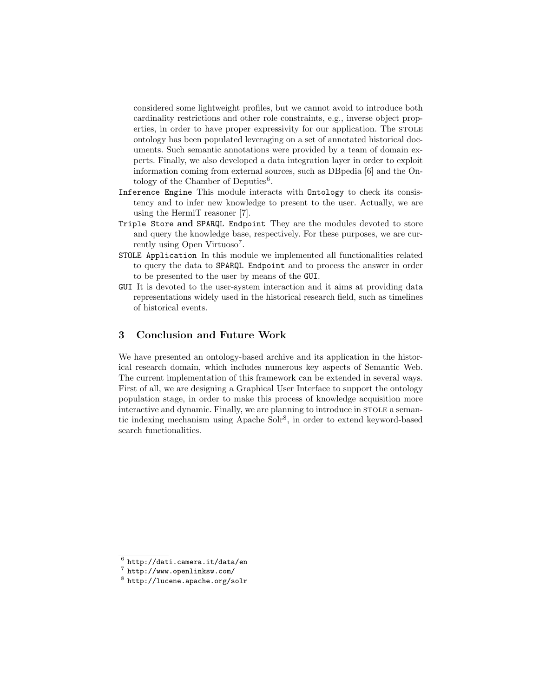considered some lightweight profiles, but we cannot avoid to introduce both cardinality restrictions and other role constraints, e.g., inverse object properties, in order to have proper expressivity for our application. The stole ontology has been populated leveraging on a set of annotated historical documents. Such semantic annotations were provided by a team of domain experts. Finally, we also developed a data integration layer in order to exploit information coming from external sources, such as DBpedia [6] and the Ontology of the Chamber of Deputies $6$ .

- Inference Engine This module interacts with Ontology to check its consistency and to infer new knowledge to present to the user. Actually, we are using the HermiT reasoner [7].
- Triple Store and SPARQL Endpoint They are the modules devoted to store and query the knowledge base, respectively. For these purposes, we are currently using Open Virtuoso<sup>7</sup>.
- STOLE Application In this module we implemented all functionalities related to query the data to SPARQL Endpoint and to process the answer in order to be presented to the user by means of the GUI.
- GUI It is devoted to the user-system interaction and it aims at providing data representations widely used in the historical research field, such as timelines of historical events.

## 3 Conclusion and Future Work

We have presented an ontology-based archive and its application in the historical research domain, which includes numerous key aspects of Semantic Web. The current implementation of this framework can be extended in several ways. First of all, we are designing a Graphical User Interface to support the ontology population stage, in order to make this process of knowledge acquisition more interactive and dynamic. Finally, we are planning to introduce in STOLE a semantic indexing mechanism using Apache Solr<sup>8</sup>, in order to extend keyword-based search functionalities.

 $^6$  http://dati.camera.it/data/en

<sup>7</sup> http://www.openlinksw.com/

 $^8$  http://lucene.apache.org/solr